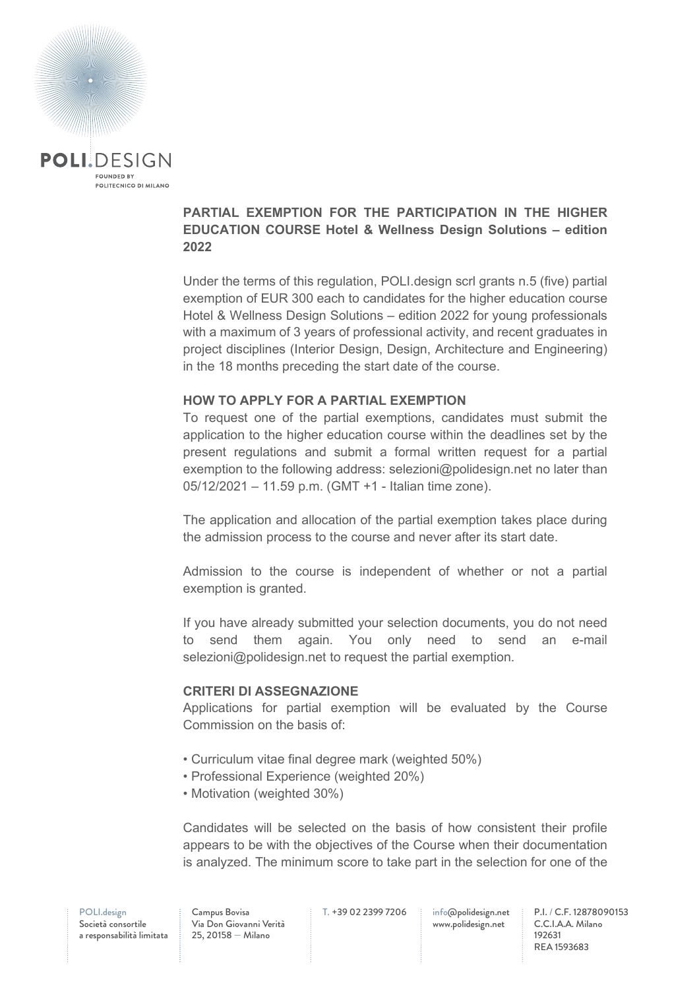

# **PARTIAL EXEMPTION FOR THE PARTICIPATION IN THE HIGHER EDUCATION COURSE Hotel & Wellness Design Solutions – edition 2022**

Under the terms of this regulation, POLI.design scrl grants n.5 (five) partial exemption of EUR 300 each to candidates for the higher education course Hotel & Wellness Design Solutions – edition 2022 for young professionals with a maximum of 3 years of professional activity, and recent graduates in project disciplines (Interior Design, Design, Architecture and Engineering) in the 18 months preceding the start date of the course.

### **HOW TO APPLY FOR A PARTIAL EXEMPTION**

To request one of the partial exemptions, candidates must submit the application to the higher education course within the deadlines set by the present regulations and submit a formal written request for a partial exemption to the following address: selezioni@polidesign.net no later than 05/12/2021 – 11.59 p.m. (GMT +1 - Italian time zone).

The application and allocation of the partial exemption takes place during the admission process to the course and never after its start date.

Admission to the course is independent of whether or not a partial exemption is granted.

If you have already submitted your selection documents, you do not need send them again. You only need to send an e-mail selezioni@polidesign.net to request the partial exemption.

### **CRITERI DI ASSEGNAZIONE**

Applications for partial exemption will be evaluated by the Course Commission on the basis of:

- Curriculum vitae final degree mark (weighted 50%)
- Professional Experience (weighted 20%)
- Motivation (weighted 30%)

Candidates will be selected on the basis of how consistent their profile appears to be with the objectives of the Course when their documentation is analyzed. The minimum score to take part in the selection for one of the

Campus Bovisa Via Don Giovanni Verità 25, 20158 — Milano

T. +39 02 2399 7206 info@polidesign.net

www.polidesign.net

P.I. / C.F. 12878090153 C.C.I.A.A. Milano 192631 REA 1593683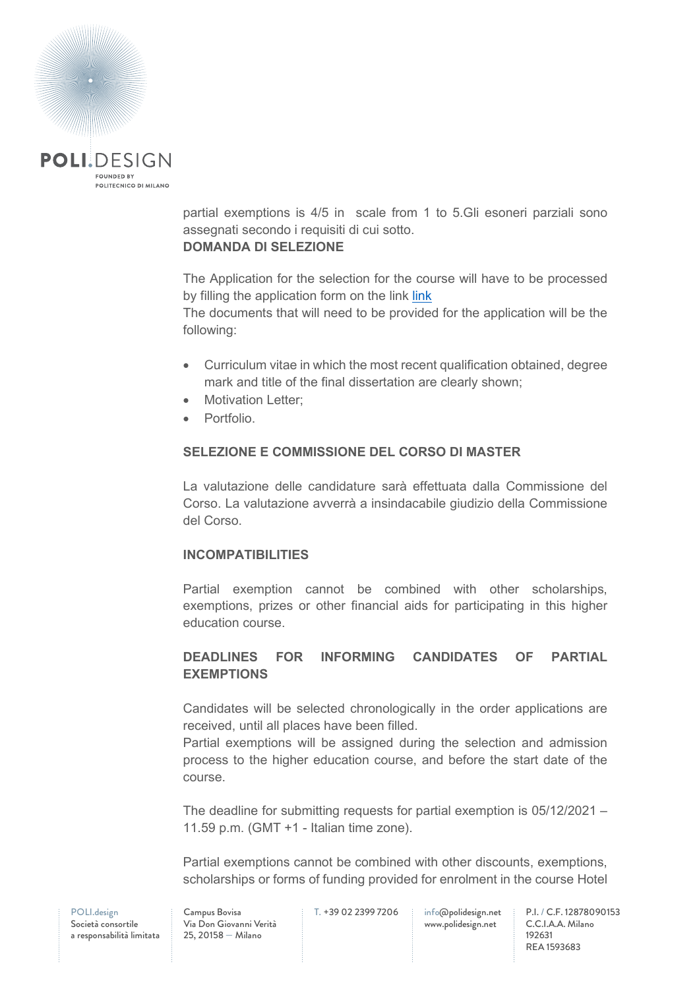

partial exemptions is 4/5 in scale from 1 to 5.Gli esoneri parziali sono assegnati secondo i requisiti di cui sotto. **DOMANDA DI SELEZIONE**

The Application for the selection for the course will have to be processed by filling the application form on the [link](https://www.polidesign.net/it/member-login/?candidatura&redirect_to=https://www.polidesign.net/it/candidatura/?courseID=POLID_5fce6d3222286) link

The documents that will need to be provided for the application will be the following:

- Curriculum vitae in which the most recent qualification obtained, degree mark and title of the final dissertation are clearly shown;
- Motivation Letter:
- Portfolio.

## **SELEZIONE E COMMISSIONE DEL CORSO DI MASTER**

La valutazione delle candidature sarà effettuata dalla Commissione del Corso. La valutazione avverrà a insindacabile giudizio della Commissione del Corso.

### **INCOMPATIBILITIES**

Partial exemption cannot be combined with other scholarships, exemptions, prizes or other financial aids for participating in this higher education course.

# **DEADLINES FOR INFORMING CANDIDATES OF PARTIAL EXEMPTIONS**

Candidates will be selected chronologically in the order applications are received, until all places have been filled.

Partial exemptions will be assigned during the selection and admission process to the higher education course, and before the start date of the course.

The deadline for submitting requests for partial exemption is 05/12/2021 – 11.59 p.m. (GMT +1 - Italian time zone).

Partial exemptions cannot be combined with other discounts, exemptions, scholarships or forms of funding provided for enrolment in the course Hotel

POLI.design Società consortile a responsabilità limitata

Campus Bovisa Via Don Giovanni Verità 25, 20158 — Milano

T. +39 02 2399 7206 info@polidesign.net

www.polidesign.net

P.I. / C.F. 12878090153 C.C.I.A.A. Milano 192631 REA 1593683